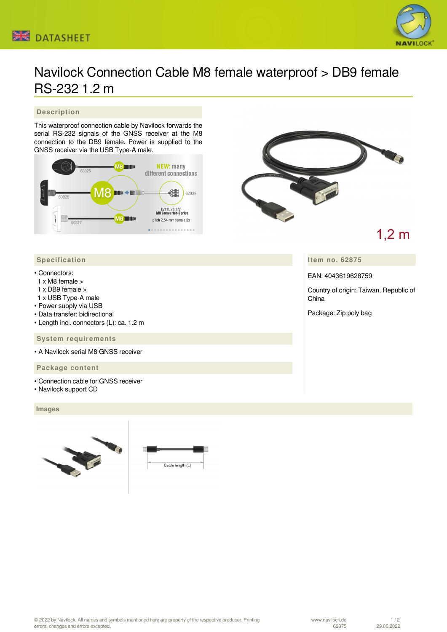# Navilock Connection Cable M8 female waterproof > DB9 female RS-232 1.2 m

### **Description**

This waterproof connection cable by Navilock forwards the serial RS-232 signals of the GNSS receiver at the M8 connection to the DB9 female. Power is supplied to the GNSS receiver via the USB Type-A male.





# $1,2 \text{ m}$

**Item no. 62875**

EAN: 4043619628759

Country of origin: Taiwan, Republic of China

Package: Zip poly bag

## **Specification**

#### • Connectors:

- 1 x M8 female >
- 1 x DB9 female >
- 1 x USB Type-A male
- Power supply via USB
- Data transfer: bidirectional
- Length incl. connectors (L): ca. 1.2 m

#### **System requirements**

• A Navilock serial M8 GNSS receiver

#### **Package content**

- Connection cable for GNSS receiver
- Navilock support CD

#### **Images**